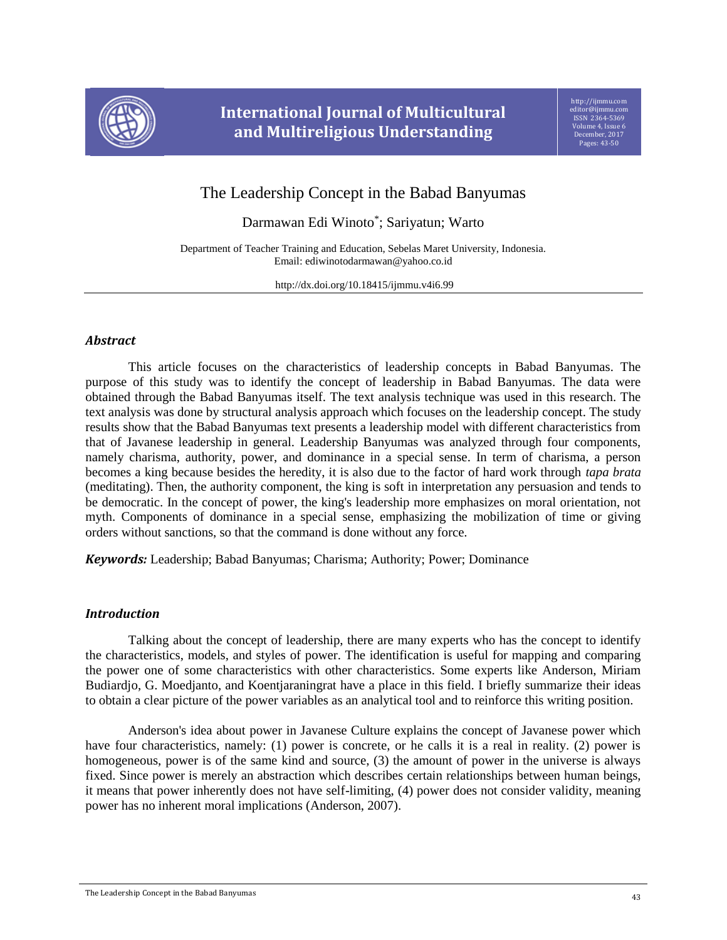

# **International Journal of Multicultural and Multireligious Understanding**

# The Leadership Concept in the Babad Banyumas

Darmawan Edi Winoto\* ; Sariyatun; Warto

Department of Teacher Training and Education, Sebelas Maret University, Indonesia. Email: ediwinotodarmawan@yahoo.co.id

http://dx.doi.org/10.18415/ijmmu.v4i6.99

# *Abstract*

This article focuses on the characteristics of leadership concepts in Babad Banyumas. The purpose of this study was to identify the concept of leadership in Babad Banyumas. The data were obtained through the Babad Banyumas itself. The text analysis technique was used in this research. The text analysis was done by structural analysis approach which focuses on the leadership concept. The study results show that the Babad Banyumas text presents a leadership model with different characteristics from that of Javanese leadership in general. Leadership Banyumas was analyzed through four components, namely charisma, authority, power, and dominance in a special sense. In term of charisma, a person becomes a king because besides the heredity, it is also due to the factor of hard work through *tapa brata*  (meditating). Then, the authority component, the king is soft in interpretation any persuasion and tends to be democratic. In the concept of power, the king's leadership more emphasizes on moral orientation, not myth. Components of dominance in a special sense, emphasizing the mobilization of time or giving orders without sanctions, so that the command is done without any force.

*Keywords:* Leadership; Babad Banyumas; Charisma; Authority; Power; Dominance

## *Introduction*

Talking about the concept of leadership, there are many experts who has the concept to identify the characteristics, models, and styles of power. The identification is useful for mapping and comparing the power one of some characteristics with other characteristics. Some experts like Anderson, Miriam Budiardjo, G. Moedjanto, and Koentjaraningrat have a place in this field. I briefly summarize their ideas to obtain a clear picture of the power variables as an analytical tool and to reinforce this writing position.

Anderson's idea about power in Javanese Culture explains the concept of Javanese power which have four characteristics, namely: (1) power is concrete, or he calls it is a real in reality. (2) power is homogeneous, power is of the same kind and source, (3) the amount of power in the universe is always fixed. Since power is merely an abstraction which describes certain relationships between human beings, it means that power inherently does not have self-limiting, (4) power does not consider validity, meaning power has no inherent moral implications (Anderson, 2007).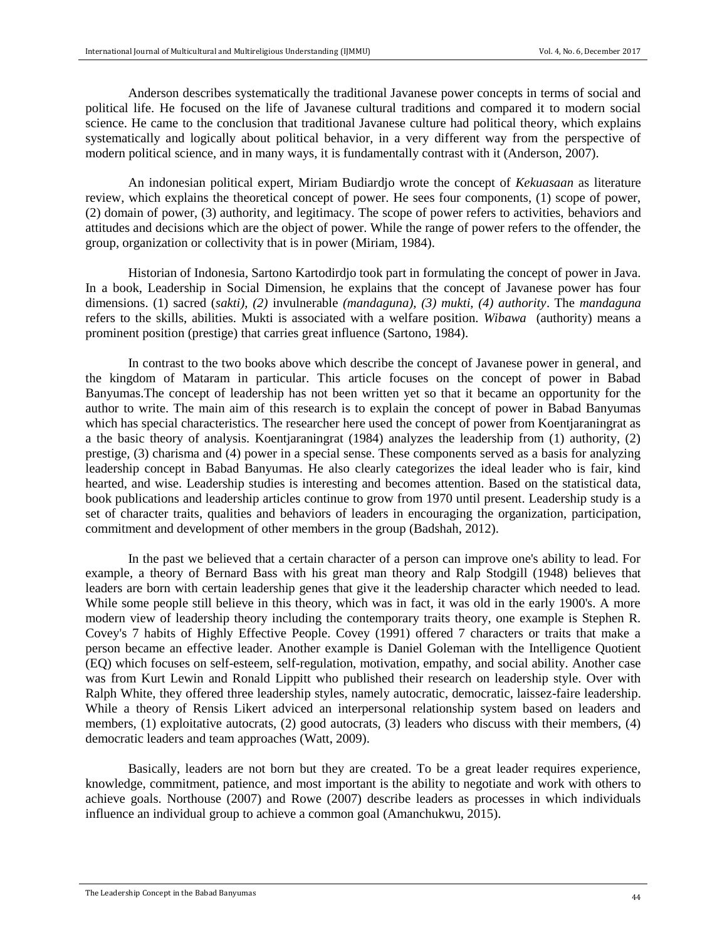Anderson describes systematically the traditional Javanese power concepts in terms of social and political life. He focused on the life of Javanese cultural traditions and compared it to modern social science. He came to the conclusion that traditional Javanese culture had political theory, which explains systematically and logically about political behavior, in a very different way from the perspective of modern political science, and in many ways, it is fundamentally contrast with it (Anderson, 2007).

An indonesian political expert, Miriam Budiardjo wrote the concept of *Kekuasaan* as literature review, which explains the theoretical concept of power. He sees four components, (1) scope of power, (2) domain of power, (3) authority, and legitimacy. The scope of power refers to activities, behaviors and attitudes and decisions which are the object of power. While the range of power refers to the offender, the group, organization or collectivity that is in power (Miriam, 1984).

Historian of Indonesia, Sartono Kartodirdjo took part in formulating the concept of power in Java. In a book, Leadership in Social Dimension, he explains that the concept of Javanese power has four dimensions. (1) sacred (*sakti), (2)* invulnerable *(mandaguna), (3) mukti, (4) authority*. The *mandaguna* refers to the skills, abilities. Mukti is associated with a welfare position. *Wibawa* (authority) means a prominent position (prestige) that carries great influence (Sartono, 1984).

In contrast to the two books above which describe the concept of Javanese power in general, and the kingdom of Mataram in particular. This article focuses on the concept of power in Babad Banyumas.The concept of leadership has not been written yet so that it became an opportunity for the author to write. The main aim of this research is to explain the concept of power in Babad Banyumas which has special characteristics. The researcher here used the concept of power from Koentjaraningrat as a the basic theory of analysis. Koentjaraningrat (1984) analyzes the leadership from (1) authority, (2) prestige, (3) charisma and (4) power in a special sense. These components served as a basis for analyzing leadership concept in Babad Banyumas. He also clearly categorizes the ideal leader who is fair, kind hearted, and wise. Leadership studies is interesting and becomes attention. Based on the statistical data, book publications and leadership articles continue to grow from 1970 until present. Leadership study is a set of character traits, qualities and behaviors of leaders in encouraging the organization, participation, commitment and development of other members in the group (Badshah, 2012).

In the past we believed that a certain character of a person can improve one's ability to lead. For example, a theory of Bernard Bass with his great man theory and Ralp Stodgill (1948) believes that leaders are born with certain leadership genes that give it the leadership character which needed to lead. While some people still believe in this theory, which was in fact, it was old in the early 1900's. A more modern view of leadership theory including the contemporary traits theory, one example is Stephen R. Covey's 7 habits of Highly Effective People. Covey (1991) offered 7 characters or traits that make a person became an effective leader. Another example is Daniel Goleman with the Intelligence Quotient (EQ) which focuses on self-esteem, self-regulation, motivation, empathy, and social ability. Another case was from Kurt Lewin and Ronald Lippitt who published their research on leadership style. Over with Ralph White, they offered three leadership styles, namely autocratic, democratic, laissez-faire leadership. While a theory of Rensis Likert adviced an interpersonal relationship system based on leaders and members, (1) exploitative autocrats, (2) good autocrats, (3) leaders who discuss with their members, (4) democratic leaders and team approaches (Watt, 2009).

Basically, leaders are not born but they are created. To be a great leader requires experience, knowledge, commitment, patience, and most important is the ability to negotiate and work with others to achieve goals. Northouse (2007) and Rowe (2007) describe leaders as processes in which individuals influence an individual group to achieve a common goal (Amanchukwu, 2015).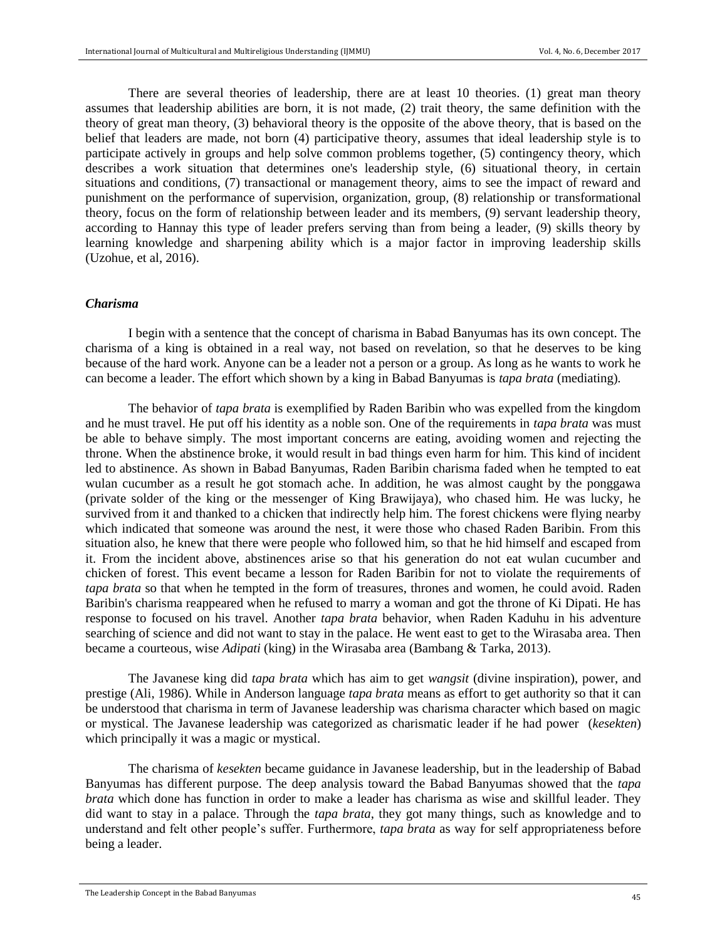There are several theories of leadership, there are at least 10 theories. (1) great man theory assumes that leadership abilities are born, it is not made, (2) trait theory, the same definition with the theory of great man theory, (3) behavioral theory is the opposite of the above theory, that is based on the belief that leaders are made, not born (4) participative theory, assumes that ideal leadership style is to participate actively in groups and help solve common problems together, (5) contingency theory, which describes a work situation that determines one's leadership style, (6) situational theory, in certain situations and conditions, (7) transactional or management theory, aims to see the impact of reward and punishment on the performance of supervision, organization, group, (8) relationship or transformational theory, focus on the form of relationship between leader and its members, (9) servant leadership theory, according to Hannay this type of leader prefers serving than from being a leader, (9) skills theory by learning knowledge and sharpening ability which is a major factor in improving leadership skills (Uzohue, et al, 2016).

#### *Charisma*

I begin with a sentence that the concept of charisma in Babad Banyumas has its own concept. The charisma of a king is obtained in a real way, not based on revelation, so that he deserves to be king because of the hard work. Anyone can be a leader not a person or a group. As long as he wants to work he can become a leader. The effort which shown by a king in Babad Banyumas is *tapa brata* (mediating)*.*

The behavior of *tapa brata* is exemplified by Raden Baribin who was expelled from the kingdom and he must travel. He put off his identity as a noble son. One of the requirements in *tapa brata* was must be able to behave simply. The most important concerns are eating, avoiding women and rejecting the throne. When the abstinence broke, it would result in bad things even harm for him. This kind of incident led to abstinence. As shown in Babad Banyumas, Raden Baribin charisma faded when he tempted to eat wulan cucumber as a result he got stomach ache. In addition, he was almost caught by the ponggawa (private solder of the king or the messenger of King Brawijaya), who chased him. He was lucky, he survived from it and thanked to a chicken that indirectly help him. The forest chickens were flying nearby which indicated that someone was around the nest, it were those who chased Raden Baribin. From this situation also, he knew that there were people who followed him, so that he hid himself and escaped from it. From the incident above, abstinences arise so that his generation do not eat wulan cucumber and chicken of forest. This event became a lesson for Raden Baribin for not to violate the requirements of *tapa brata* so that when he tempted in the form of treasures, thrones and women, he could avoid. Raden Baribin's charisma reappeared when he refused to marry a woman and got the throne of Ki Dipati. He has response to focused on his travel. Another *tapa brata* behavior, when Raden Kaduhu in his adventure searching of science and did not want to stay in the palace. He went east to get to the Wirasaba area. Then became a courteous, wise *Adipati* (king) in the Wirasaba area (Bambang & Tarka, 2013).

The Javanese king did *tapa brata* which has aim to get *wangsit* (divine inspiration), power, and prestige (Ali, 1986). While in Anderson language *tapa brata* means as effort to get authority so that it can be understood that charisma in term of Javanese leadership was charisma character which based on magic or mystical. The Javanese leadership was categorized as charismatic leader if he had power (*kesekten*) which principally it was a magic or mystical.

The charisma of *kesekten* became guidance in Javanese leadership, but in the leadership of Babad Banyumas has different purpose. The deep analysis toward the Babad Banyumas showed that the *tapa brata* which done has function in order to make a leader has charisma as wise and skillful leader. They did want to stay in a palace. Through the *tapa brata*, they got many things, such as knowledge and to understand and felt other people's suffer. Furthermore, *tapa brata* as way for self appropriateness before being a leader.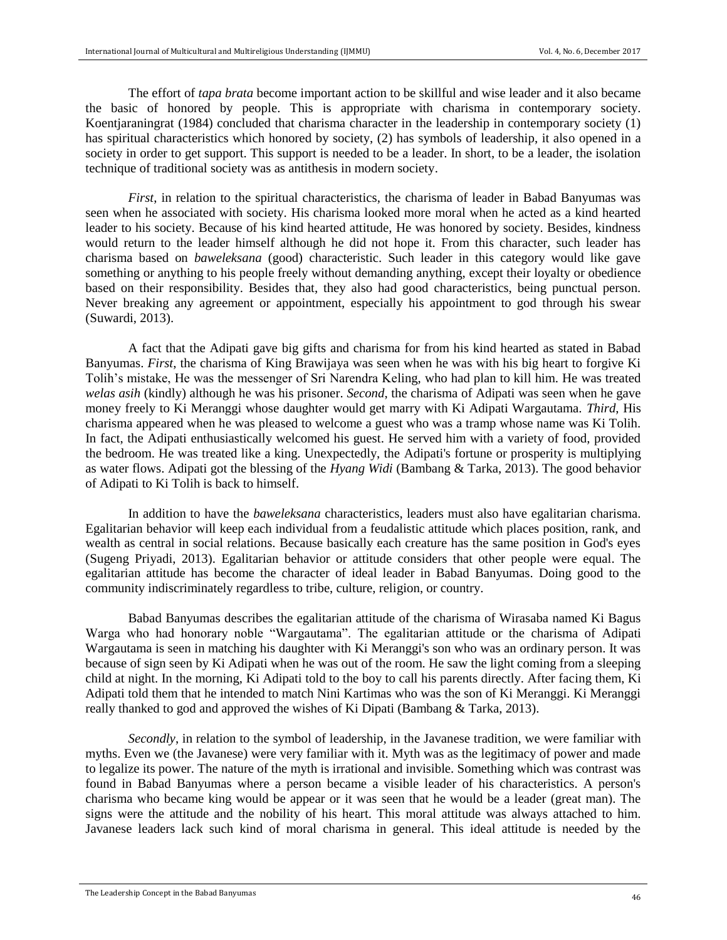The effort of *tapa brata* become important action to be skillful and wise leader and it also became the basic of honored by people. This is appropriate with charisma in contemporary society. Koentjaraningrat (1984) concluded that charisma character in the leadership in contemporary society (1) has spiritual characteristics which honored by society, (2) has symbols of leadership, it also opened in a society in order to get support. This support is needed to be a leader. In short, to be a leader, the isolation technique of traditional society was as antithesis in modern society.

*First*, in relation to the spiritual characteristics, the charisma of leader in Babad Banyumas was seen when he associated with society. His charisma looked more moral when he acted as a kind hearted leader to his society. Because of his kind hearted attitude, He was honored by society. Besides, kindness would return to the leader himself although he did not hope it. From this character, such leader has charisma based on *baweleksana* (good) characteristic. Such leader in this category would like gave something or anything to his people freely without demanding anything, except their loyalty or obedience based on their responsibility. Besides that, they also had good characteristics, being punctual person. Never breaking any agreement or appointment, especially his appointment to god through his swear (Suwardi, 2013).

A fact that the Adipati gave big gifts and charisma for from his kind hearted as stated in Babad Banyumas. *First*, the charisma of King Brawijaya was seen when he was with his big heart to forgive Ki Tolih's mistake, He was the messenger of Sri Narendra Keling, who had plan to kill him. He was treated *welas asih* (kindly) although he was his prisoner. *Second*, the charisma of Adipati was seen when he gave money freely to Ki Meranggi whose daughter would get marry with Ki Adipati Wargautama. *Third*, His charisma appeared when he was pleased to welcome a guest who was a tramp whose name was Ki Tolih. In fact, the Adipati enthusiastically welcomed his guest. He served him with a variety of food, provided the bedroom. He was treated like a king. Unexpectedly, the Adipati's fortune or prosperity is multiplying as water flows. Adipati got the blessing of the *Hyang Widi* (Bambang & Tarka, 2013). The good behavior of Adipati to Ki Tolih is back to himself.

In addition to have the *baweleksana* characteristics, leaders must also have egalitarian charisma. Egalitarian behavior will keep each individual from a feudalistic attitude which places position, rank, and wealth as central in social relations. Because basically each creature has the same position in God's eyes (Sugeng Priyadi, 2013). Egalitarian behavior or attitude considers that other people were equal. The egalitarian attitude has become the character of ideal leader in Babad Banyumas. Doing good to the community indiscriminately regardless to tribe, culture, religion, or country.

Babad Banyumas describes the egalitarian attitude of the charisma of Wirasaba named Ki Bagus Warga who had honorary noble "Wargautama". The egalitarian attitude or the charisma of Adipati Wargautama is seen in matching his daughter with Ki Meranggi's son who was an ordinary person. It was because of sign seen by Ki Adipati when he was out of the room. He saw the light coming from a sleeping child at night. In the morning, Ki Adipati told to the boy to call his parents directly. After facing them, Ki Adipati told them that he intended to match Nini Kartimas who was the son of Ki Meranggi. Ki Meranggi really thanked to god and approved the wishes of Ki Dipati (Bambang & Tarka, 2013).

*Secondly*, in relation to the symbol of leadership, in the Javanese tradition, we were familiar with myths. Even we (the Javanese) were very familiar with it. Myth was as the legitimacy of power and made to legalize its power. The nature of the myth is irrational and invisible. Something which was contrast was found in Babad Banyumas where a person became a visible leader of his characteristics. A person's charisma who became king would be appear or it was seen that he would be a leader (great man). The signs were the attitude and the nobility of his heart. This moral attitude was always attached to him. Javanese leaders lack such kind of moral charisma in general. This ideal attitude is needed by the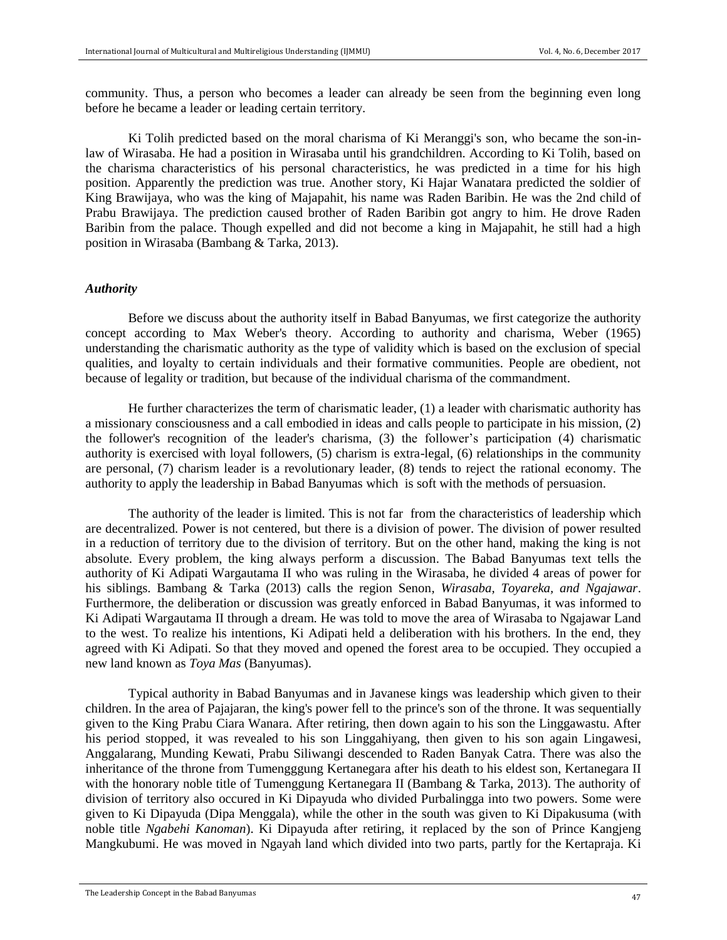community. Thus, a person who becomes a leader can already be seen from the beginning even long before he became a leader or leading certain territory.

Ki Tolih predicted based on the moral charisma of Ki Meranggi's son, who became the son-inlaw of Wirasaba. He had a position in Wirasaba until his grandchildren. According to Ki Tolih, based on the charisma characteristics of his personal characteristics, he was predicted in a time for his high position. Apparently the prediction was true. Another story, Ki Hajar Wanatara predicted the soldier of King Brawijaya, who was the king of Majapahit, his name was Raden Baribin. He was the 2nd child of Prabu Brawijaya. The prediction caused brother of Raden Baribin got angry to him. He drove Raden Baribin from the palace. Though expelled and did not become a king in Majapahit, he still had a high position in Wirasaba (Bambang & Tarka, 2013).

#### *Authority*

Before we discuss about the authority itself in Babad Banyumas, we first categorize the authority concept according to Max Weber's theory. According to authority and charisma, Weber (1965) understanding the charismatic authority as the type of validity which is based on the exclusion of special qualities, and loyalty to certain individuals and their formative communities. People are obedient, not because of legality or tradition, but because of the individual charisma of the commandment.

He further characterizes the term of charismatic leader, (1) a leader with charismatic authority has a missionary consciousness and a call embodied in ideas and calls people to participate in his mission, (2) the follower's recognition of the leader's charisma, (3) the follower's participation (4) charismatic authority is exercised with loyal followers, (5) charism is extra-legal, (6) relationships in the community are personal, (7) charism leader is a revolutionary leader, (8) tends to reject the rational economy. The authority to apply the leadership in Babad Banyumas which is soft with the methods of persuasion.

The authority of the leader is limited. This is not far from the characteristics of leadership which are decentralized. Power is not centered, but there is a division of power. The division of power resulted in a reduction of territory due to the division of territory. But on the other hand, making the king is not absolute. Every problem, the king always perform a discussion. The Babad Banyumas text tells the authority of Ki Adipati Wargautama II who was ruling in the Wirasaba, he divided 4 areas of power for his siblings. Bambang & Tarka (2013) calls the region Senon*, Wirasaba, Toyareka, and Ngajawar*. Furthermore, the deliberation or discussion was greatly enforced in Babad Banyumas, it was informed to Ki Adipati Wargautama II through a dream. He was told to move the area of Wirasaba to Ngajawar Land to the west. To realize his intentions, Ki Adipati held a deliberation with his brothers. In the end, they agreed with Ki Adipati. So that they moved and opened the forest area to be occupied. They occupied a new land known as *Toya Mas* (Banyumas).

Typical authority in Babad Banyumas and in Javanese kings was leadership which given to their children. In the area of Pajajaran, the king's power fell to the prince's son of the throne. It was sequentially given to the King Prabu Ciara Wanara. After retiring, then down again to his son the Linggawastu. After his period stopped, it was revealed to his son Linggahiyang, then given to his son again Lingawesi, Anggalarang, Munding Kewati, Prabu Siliwangi descended to Raden Banyak Catra. There was also the inheritance of the throne from Tumengggung Kertanegara after his death to his eldest son, Kertanegara II with the honorary noble title of Tumenggung Kertanegara II (Bambang & Tarka, 2013). The authority of division of territory also occured in Ki Dipayuda who divided Purbalingga into two powers. Some were given to Ki Dipayuda (Dipa Menggala), while the other in the south was given to Ki Dipakusuma (with noble title *Ngabehi Kanoman*). Ki Dipayuda after retiring, it replaced by the son of Prince Kangjeng Mangkubumi. He was moved in Ngayah land which divided into two parts, partly for the Kertapraja. Ki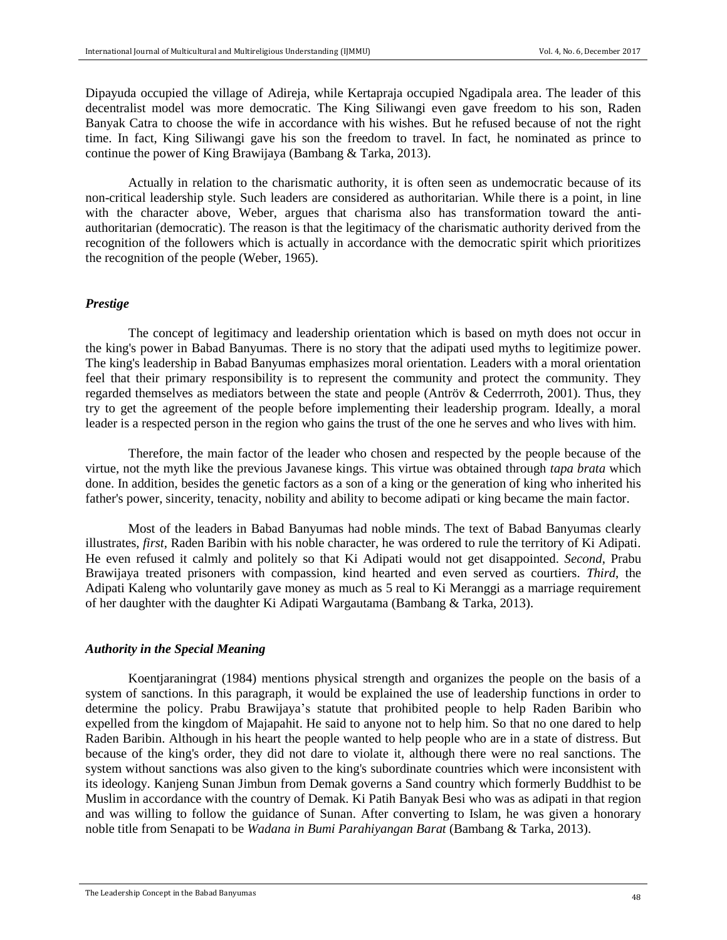Dipayuda occupied the village of Adireja, while Kertapraja occupied Ngadipala area. The leader of this decentralist model was more democratic. The King Siliwangi even gave freedom to his son, Raden Banyak Catra to choose the wife in accordance with his wishes. But he refused because of not the right time. In fact, King Siliwangi gave his son the freedom to travel. In fact, he nominated as prince to continue the power of King Brawijaya (Bambang & Tarka, 2013).

Actually in relation to the charismatic authority, it is often seen as undemocratic because of its non-critical leadership style. Such leaders are considered as authoritarian. While there is a point, in line with the character above, Weber, argues that charisma also has transformation toward the antiauthoritarian (democratic). The reason is that the legitimacy of the charismatic authority derived from the recognition of the followers which is actually in accordance with the democratic spirit which prioritizes the recognition of the people (Weber, 1965).

## *Prestige*

The concept of legitimacy and leadership orientation which is based on myth does not occur in the king's power in Babad Banyumas. There is no story that the adipati used myths to legitimize power. The king's leadership in Babad Banyumas emphasizes moral orientation. Leaders with a moral orientation feel that their primary responsibility is to represent the community and protect the community. They regarded themselves as mediators between the state and people (Antröv & Cederrroth, 2001). Thus, they try to get the agreement of the people before implementing their leadership program. Ideally, a moral leader is a respected person in the region who gains the trust of the one he serves and who lives with him.

Therefore, the main factor of the leader who chosen and respected by the people because of the virtue, not the myth like the previous Javanese kings. This virtue was obtained through *tapa brata* which done. In addition, besides the genetic factors as a son of a king or the generation of king who inherited his father's power, sincerity, tenacity, nobility and ability to become adipati or king became the main factor.

Most of the leaders in Babad Banyumas had noble minds. The text of Babad Banyumas clearly illustrates, *first*, Raden Baribin with his noble character, he was ordered to rule the territory of Ki Adipati. He even refused it calmly and politely so that Ki Adipati would not get disappointed. *Second*, Prabu Brawijaya treated prisoners with compassion, kind hearted and even served as courtiers. *Third*, the Adipati Kaleng who voluntarily gave money as much as 5 real to Ki Meranggi as a marriage requirement of her daughter with the daughter Ki Adipati Wargautama (Bambang & Tarka, 2013).

## *Authority in the Special Meaning*

Koentjaraningrat (1984) mentions physical strength and organizes the people on the basis of a system of sanctions. In this paragraph, it would be explained the use of leadership functions in order to determine the policy. Prabu Brawijaya's statute that prohibited people to help Raden Baribin who expelled from the kingdom of Majapahit. He said to anyone not to help him. So that no one dared to help Raden Baribin. Although in his heart the people wanted to help people who are in a state of distress. But because of the king's order, they did not dare to violate it, although there were no real sanctions. The system without sanctions was also given to the king's subordinate countries which were inconsistent with its ideology. Kanjeng Sunan Jimbun from Demak governs a Sand country which formerly Buddhist to be Muslim in accordance with the country of Demak. Ki Patih Banyak Besi who was as adipati in that region and was willing to follow the guidance of Sunan. After converting to Islam, he was given a honorary noble title from Senapati to be *Wadana in Bumi Parahiyangan Barat* (Bambang & Tarka, 2013).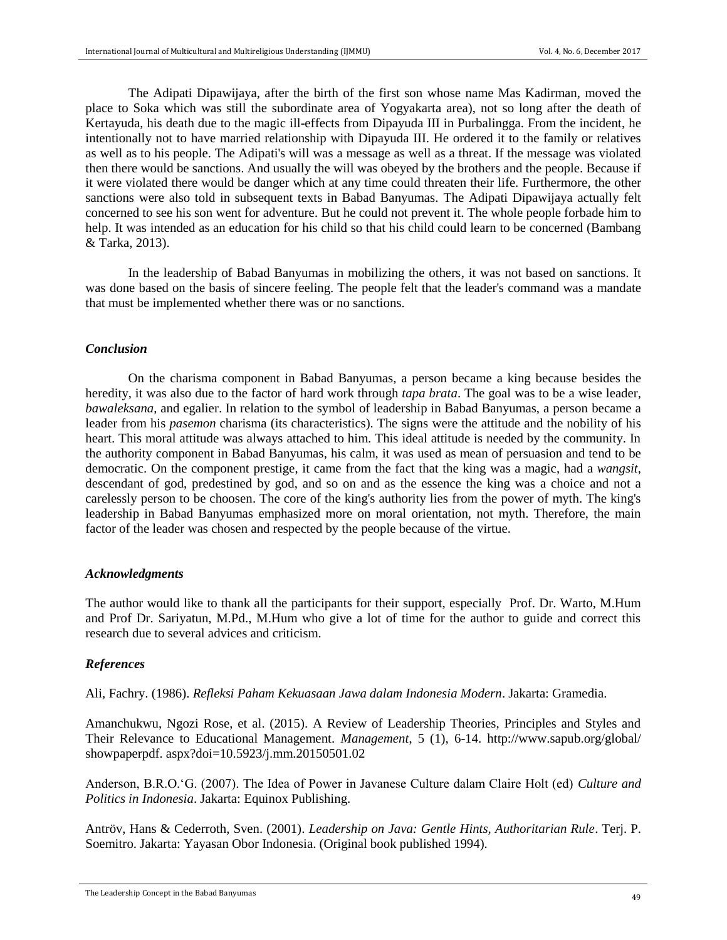The Adipati Dipawijaya, after the birth of the first son whose name Mas Kadirman, moved the place to Soka which was still the subordinate area of Yogyakarta area), not so long after the death of Kertayuda, his death due to the magic ill-effects from Dipayuda III in Purbalingga. From the incident, he intentionally not to have married relationship with Dipayuda III. He ordered it to the family or relatives as well as to his people. The Adipati's will was a message as well as a threat. If the message was violated then there would be sanctions. And usually the will was obeyed by the brothers and the people. Because if it were violated there would be danger which at any time could threaten their life. Furthermore, the other sanctions were also told in subsequent texts in Babad Banyumas. The Adipati Dipawijaya actually felt concerned to see his son went for adventure. But he could not prevent it. The whole people forbade him to help. It was intended as an education for his child so that his child could learn to be concerned (Bambang & Tarka, 2013).

In the leadership of Babad Banyumas in mobilizing the others, it was not based on sanctions. It was done based on the basis of sincere feeling. The people felt that the leader's command was a mandate that must be implemented whether there was or no sanctions.

#### *Conclusion*

On the charisma component in Babad Banyumas, a person became a king because besides the heredity, it was also due to the factor of hard work through *tapa brata*. The goal was to be a wise leader, *bawaleksana*, and egalier. In relation to the symbol of leadership in Babad Banyumas, a person became a leader from his *pasemon* charisma (its characteristics). The signs were the attitude and the nobility of his heart. This moral attitude was always attached to him. This ideal attitude is needed by the community. In the authority component in Babad Banyumas, his calm, it was used as mean of persuasion and tend to be democratic. On the component prestige, it came from the fact that the king was a magic, had a *wangsit*, descendant of god, predestined by god, and so on and as the essence the king was a choice and not a carelessly person to be choosen. The core of the king's authority lies from the power of myth. The king's leadership in Babad Banyumas emphasized more on moral orientation, not myth. Therefore, the main factor of the leader was chosen and respected by the people because of the virtue.

#### *Acknowledgments*

The author would like to thank all the participants for their support, especially Prof. Dr. Warto, M.Hum and Prof Dr. Sariyatun, M.Pd., M.Hum who give a lot of time for the author to guide and correct this research due to several advices and criticism.

## *References*

Ali, Fachry. (1986). *Refleksi Paham Kekuasaan Jawa dalam Indonesia Modern*. Jakarta: Gramedia.

Amanchukwu, Ngozi Rose, et al. (2015). A Review of Leadership Theories, Principles and Styles and Their Relevance to Educational Management. *Management*, 5 (1), 6-14. http://www.sapub.org/global/ showpaperpdf. aspx?doi=10.5923/j.mm.20150501.02

Anderson, B.R.O.'G. (2007). The Idea of Power in Javanese Culture dalam Claire Holt (ed) *Culture and Politics in Indonesia*. Jakarta: Equinox Publishing.

Antröv, Hans & Cederroth, Sven. (2001). *Leadership on Java: Gentle Hints, Authoritarian Rule*. Terj. P. Soemitro. Jakarta: Yayasan Obor Indonesia. (Original book published 1994).